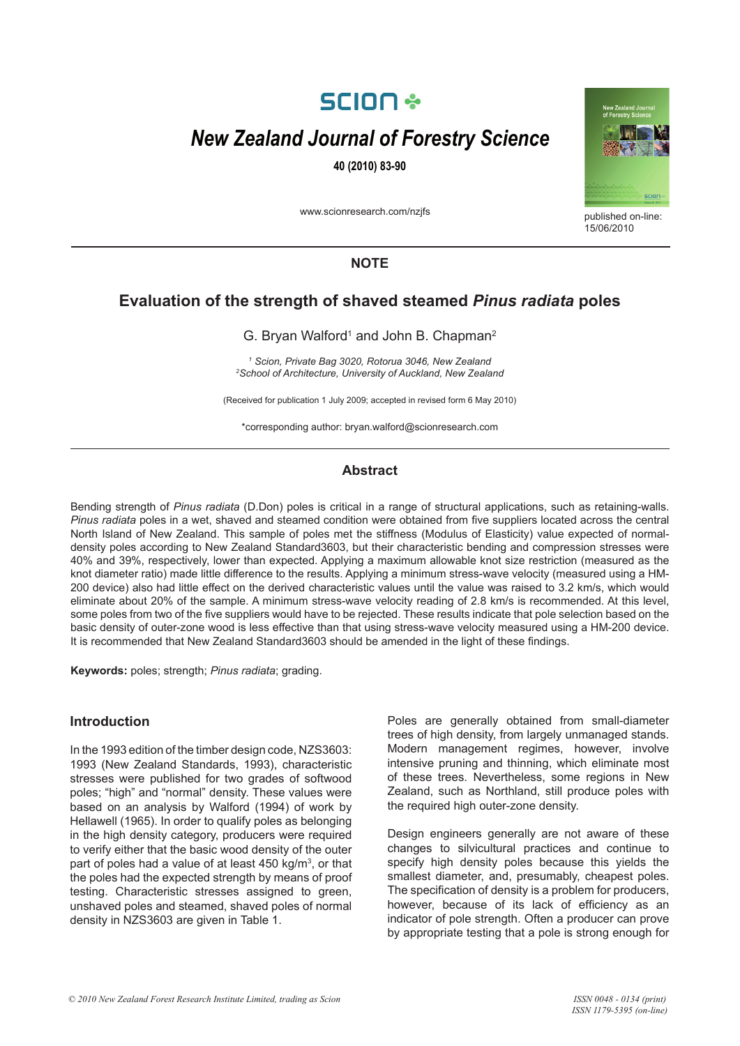# **SCION \***

# *New Zealand Journal of Forestry Science*

**40 (2010) 83-90**

www.scionresearch.com/nzjfs



published on-line:  $15/06/2010$ 

## **NOTE**

# **Evaluation of the strength of shaved steamed** *Pinus radiata* **poles**

G. Bryan Walford<sup>1</sup> and John B. Chapman<sup>2</sup>

*1 Scion, Private Bag 3020, Rotorua 3046, New Zealand 2 School of Architecture, University of Auckland, New Zealand*

(Received for publication 1 July 2009; accepted in revised form 6 May 2010)

\*corresponding author: bryan.walford@scionresearch.com

## **Abstract**

Bending strength of *Pinus radiata* (D.Don) poles is critical in a range of structural applications, such as retaining-walls. *Pinus radiata* poles in a wet, shaved and steamed condition were obtained from five suppliers located across the central North Island of New Zealand. This sample of poles met the stiffness (Modulus of Elasticity) value expected of normaldensity poles according to New Zealand Standard3603, but their characteristic bending and compression stresses were 40% and 39%, respectively, lower than expected. Applying a maximum allowable knot size restriction (measured as the knot diameter ratio) made little difference to the results. Applying a minimum stress-wave velocity (measured using a HM-200 device) also had little effect on the derived characteristic values until the value was raised to 3.2 km/s, which would eliminate about 20% of the sample. A minimum stress-wave velocity reading of 2.8 km/s is recommended. At this level, some poles from two of the five suppliers would have to be rejected. These results indicate that pole selection based on the basic density of outer-zone wood is less effective than that using stress-wave velocity measured using a HM-200 device. It is recommended that New Zealand Standard3603 should be amended in the light of these findings.

**Keywords:** poles; strength; *Pinus radiata*; grading.

## **Introduction**

In the 1993 edition of the timber design code, NZS3603: 1993 (New Zealand Standards, 1993), characteristic stresses were published for two grades of softwood poles; "high" and "normal" density. These values were based on an analysis by Walford (1994) of work by Hellawell (1965). In order to qualify poles as belonging in the high density category, producers were required to verify either that the basic wood density of the outer part of poles had a value of at least 450 kg/m<sup>3</sup>, or that the poles had the expected strength by means of proof testing. Characteristic stresses assigned to green, unshaved poles and steamed, shaved poles of normal density in NZS3603 are given in Table 1.

Poles are generally obtained from small-diameter trees of high density, from largely unmanaged stands. Modern management regimes, however, involve intensive pruning and thinning, which eliminate most of these trees. Nevertheless, some regions in New Zealand, such as Northland, still produce poles with the required high outer-zone density.

Design engineers generally are not aware of these changes to silvicultural practices and continue to specify high density poles because this yields the smallest diameter, and, presumably, cheapest poles. The specification of density is a problem for producers, however, because of its lack of efficiency as an indicator of pole strength. Often a producer can prove by appropriate testing that a pole is strong enough for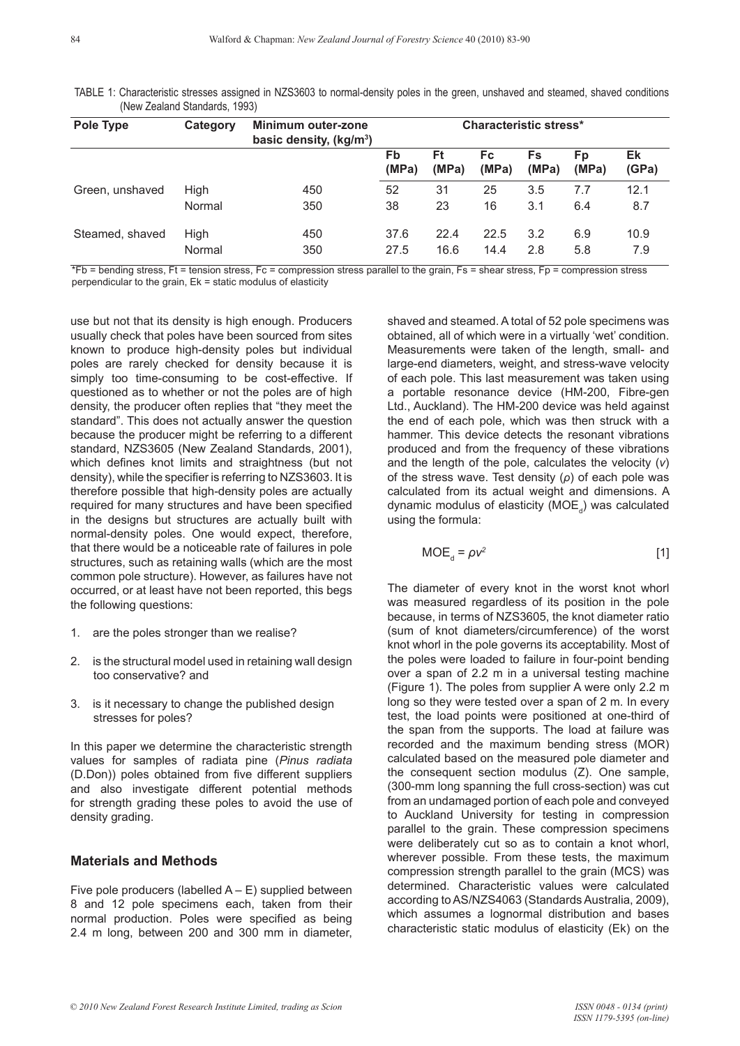84

TABLE 1: Characteristic stresses assigned in NZS3603 to normal-density poles in the green, unshaved and steamed, shaved conditions (New Zealand Standards, 1993)

| Pole Type       | Category       | Minimum outer-zone<br>basic density, (kg/m <sup>3</sup> ) | <b>Characteristic stress*</b> |              |                    |             |             |             |
|-----------------|----------------|-----------------------------------------------------------|-------------------------------|--------------|--------------------|-------------|-------------|-------------|
|                 |                |                                                           | Fb<br>(MPa)                   | Ft<br>(MPa)  | <b>Fc</b><br>(MPa) | Fs<br>(MPa) | Fp<br>(MPa) | Ek<br>(GPa) |
| Green, unshaved | High           | 450                                                       | 52                            | 31           | 25                 | 3.5         | 7.7         | 12.1        |
|                 | Normal         | 350                                                       | 38                            | 23           | 16                 | 3.1         | 6.4         | 8.7         |
| Steamed, shaved | High<br>Normal | 450<br>350                                                | 37.6<br>27.5                  | 22.4<br>16.6 | 22.5<br>14.4       | 3.2<br>2.8  | 6.9<br>5.8  | 10.9<br>7.9 |

\*Fb = bending stress, Ft = tension stress, Fc = compression stress parallel to the grain, Fs = shear stress, Fp = compression stress perpendicular to the grain, Ek = static modulus of elasticity

use but not that its density is high enough. Producers usually check that poles have been sourced from sites known to produce high-density poles but individual poles are rarely checked for density because it is simply too time-consuming to be cost-effective. If questioned as to whether or not the poles are of high density, the producer often replies that "they meet the standard". This does not actually answer the question because the producer might be referring to a different standard, NZS3605 (New Zealand Standards, 2001), which defines knot limits and straightness (but not density), while the specifier is referring to NZS3603. It is therefore possible that high-density poles are actually required for many structures and have been specified in the designs but structures are actually built with normal-density poles. One would expect, therefore, that there would be a noticeable rate of failures in pole structures, such as retaining walls (which are the most common pole structure). However, as failures have not occurred, or at least have not been reported, this begs the following questions:

- 1. are the poles stronger than we realise?
- 2. is the structural model used in retaining wall design too conservative? and
- 3. is it necessary to change the published design stresses for poles?

In this paper we determine the characteristic strength values for samples of radiata pine (*Pinus radiata* (D.Don)) poles obtained from five different suppliers and also investigate different potential methods for strength grading these poles to avoid the use of density grading.

## **Materials and Methods**

Five pole producers (labelled  $A - E$ ) supplied between 8 and 12 pole specimens each, taken from their normal production. Poles were specified as being 2.4 m long, between 200 and 300 mm in diameter, shaved and steamed. A total of 52 pole specimens was obtained, all of which were in a virtually 'wet' condition. Measurements were taken of the length, small- and large-end diameters, weight, and stress-wave velocity of each pole. This last measurement was taken using a portable resonance device (HM-200, Fibre-gen Ltd., Auckland). The HM-200 device was held against the end of each pole, which was then struck with a hammer. This device detects the resonant vibrations produced and from the frequency of these vibrations and the length of the pole, calculates the velocity (*v*) of the stress wave. Test density (*ρ*) of each pole was calculated from its actual weight and dimensions. A dynamic modulus of elasticity (MOE<sub>d</sub>) was calculated using the formula:

$$
MOE_{d} = \rho v^{2}
$$
 [1]

The diameter of every knot in the worst knot whorl was measured regardless of its position in the pole because, in terms of NZS3605, the knot diameter ratio (sum of knot diameters/circumference) of the worst knot whorl in the pole governs its acceptability. Most of the poles were loaded to failure in four-point bending over a span of 2.2 m in a universal testing machine (Figure 1). The poles from supplier A were only 2.2 m long so they were tested over a span of 2 m. In every test, the load points were positioned at one-third of the span from the supports. The load at failure was recorded and the maximum bending stress (MOR) calculated based on the measured pole diameter and the consequent section modulus (Z). One sample, (300-mm long spanning the full cross-section) was cut from an undamaged portion of each pole and conveyed to Auckland University for testing in compression parallel to the grain. These compression specimens were deliberately cut so as to contain a knot whorl, wherever possible. From these tests, the maximum compression strength parallel to the grain (MCS) was determined. Characteristic values were calculated according to AS/NZS4063 (Standards Australia, 2009), which assumes a lognormal distribution and bases characteristic static modulus of elasticity (Ek) on the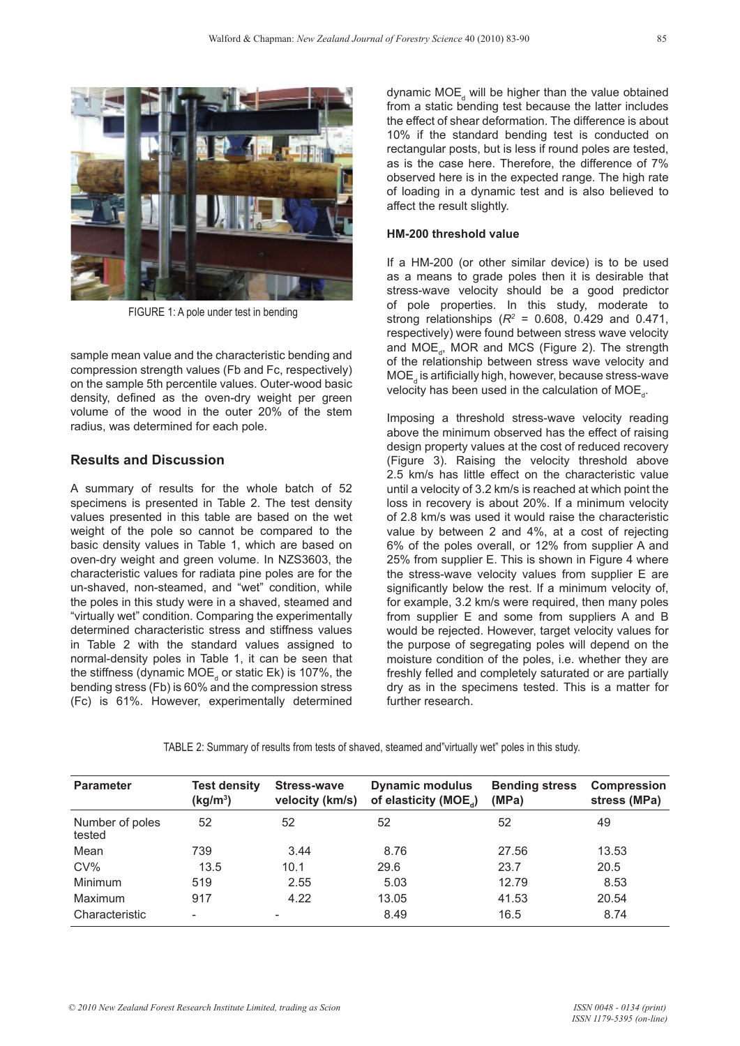

FIGURE 1: A pole under test in bending

sample mean value and the characteristic bending and compression strength values (Fb and Fc, respectively) on the sample 5th percentile values. Outer-wood basic density, defined as the oven-dry weight per green volume of the wood in the outer 20% of the stem radius, was determined for each pole.

## **Results and Discussion**

A summary of results for the whole batch of 52 specimens is presented in Table 2. The test density values presented in this table are based on the wet weight of the pole so cannot be compared to the basic density values in Table 1, which are based on oven-dry weight and green volume. In NZS3603, the characteristic values for radiata pine poles are for the un-shaved, non-steamed, and "wet" condition, while the poles in this study were in a shaved, steamed and "virtually wet" condition. Comparing the experimentally determined characteristic stress and stiffness values in Table 2 with the standard values assigned to normal-density poles in Table 1, it can be seen that the stiffness (dynamic MOE<sub>d</sub> or static Ek) is 107%, the bending stress (Fb) is 60% and the compression stress (Fc) is 61%. However, experimentally determined

dynamic MOE<sub>d</sub> will be higher than the value obtained from a static bending test because the latter includes the effect of shear deformation. The difference is about 10% if the standard bending test is conducted on rectangular posts, but is less if round poles are tested, as is the case here. Therefore, the difference of 7% observed here is in the expected range. The high rate of loading in a dynamic test and is also believed to affect the result slightly.

#### **HM-200 threshold value**

If a HM-200 (or other similar device) is to be used as a means to grade poles then it is desirable that stress-wave velocity should be a good predictor of pole properties. In this study, moderate to strong relationships ( $R^2 = 0.608$ , 0.429 and 0.471, respectively) were found between stress wave velocity and  $MOE<sub>d</sub>$ , MOR and MCS (Figure 2). The strength of the relationship between stress wave velocity and  $\mathsf{MOE}_{\mathsf{d}}$  is artificially high, however, because stress-wave velocity has been used in the calculation of  $\mathsf{MOE}_{\mathsf{d}}$ .

Imposing a threshold stress-wave velocity reading above the minimum observed has the effect of raising design property values at the cost of reduced recovery (Figure 3). Raising the velocity threshold above 2.5 km/s has little effect on the characteristic value until a velocity of 3.2 km/s is reached at which point the loss in recovery is about 20%. If a minimum velocity of 2.8 km/s was used it would raise the characteristic value by between 2 and 4%, at a cost of rejecting 6% of the poles overall, or 12% from supplier A and 25% from supplier E. This is shown in Figure 4 where the stress-wave velocity values from supplier E are significantly below the rest. If a minimum velocity of, for example, 3.2 km/s were required, then many poles from supplier E and some from suppliers A and B would be rejected. However, target velocity values for the purpose of segregating poles will depend on the moisture condition of the poles, i.e. whether they are freshly felled and completely saturated or are partially dry as in the specimens tested. This is a matter for further research.

| TABLE 2: Summary of results from tests of shaved, steamed and"virtually wet" poles in this study. |  |
|---------------------------------------------------------------------------------------------------|--|
|---------------------------------------------------------------------------------------------------|--|

| <b>Parameter</b>          | <b>Test density</b><br>(kg/m <sup>3</sup> ) | <b>Stress-wave</b><br>velocity (km/s) | <b>Dynamic modulus</b><br>of elasticity (MOE <sub>a</sub> ) | <b>Bending stress</b><br>(MPa) | <b>Compression</b><br>stress (MPa) |
|---------------------------|---------------------------------------------|---------------------------------------|-------------------------------------------------------------|--------------------------------|------------------------------------|
| Number of poles<br>tested | 52                                          | 52                                    | 52                                                          | 52                             | 49                                 |
| Mean                      | 739                                         | 3.44                                  | 8.76                                                        | 27.56                          | 13.53                              |
| CV%                       | 13.5                                        | 10.1                                  | 29.6                                                        | 23.7                           | 20.5                               |
| Minimum                   | 519                                         | 2.55                                  | 5.03                                                        | 12.79                          | 8.53                               |
| Maximum                   | 917                                         | 4.22                                  | 13.05                                                       | 41.53                          | 20.54                              |
| Characteristic            | $\overline{\phantom{0}}$                    | $\overline{\phantom{a}}$              | 8.49                                                        | 16.5                           | 8.74                               |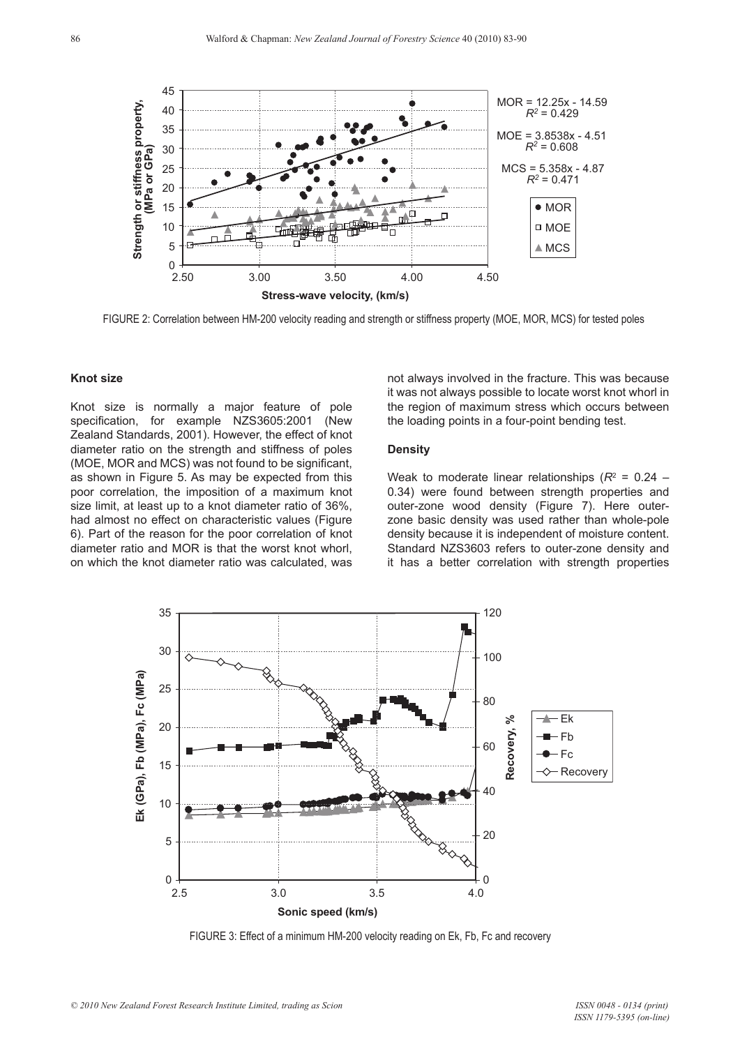

FIGURE 2: Correlation between HM-200 velocity reading and strength or stiffness property (MOE, MOR, MCS) for tested poles

#### **Knot size**

Knot size is normally a major feature of pole specification, for example NZS3605:2001 (New Zealand Standards, 2001). However, the effect of knot diameter ratio on the strength and stiffness of poles (MOE, MOR and MCS) was not found to be significant, as shown in Figure 5. As may be expected from this poor correlation, the imposition of a maximum knot size limit, at least up to a knot diameter ratio of 36%, had almost no effect on characteristic values (Figure 6). Part of the reason for the poor correlation of knot diameter ratio and MOR is that the worst knot whorl, on which the knot diameter ratio was calculated, was

not always involved in the fracture. This was because it was not always possible to locate worst knot whorl in the region of maximum stress which occurs between the loading points in a four-point bending test.

#### **Density**

Weak to moderate linear relationships  $(R^2 = 0.24 -$ 0.34) were found between strength properties and outer-zone wood density (Figure 7). Here outerzone basic density was used rather than whole-pole density because it is independent of moisture content. Standard NZS3603 refers to outer-zone density and it has a better correlation with strength properties



FIGURE 3: Effect of a minimum HM-200 velocity reading on Ek, Fb, Fc and recovery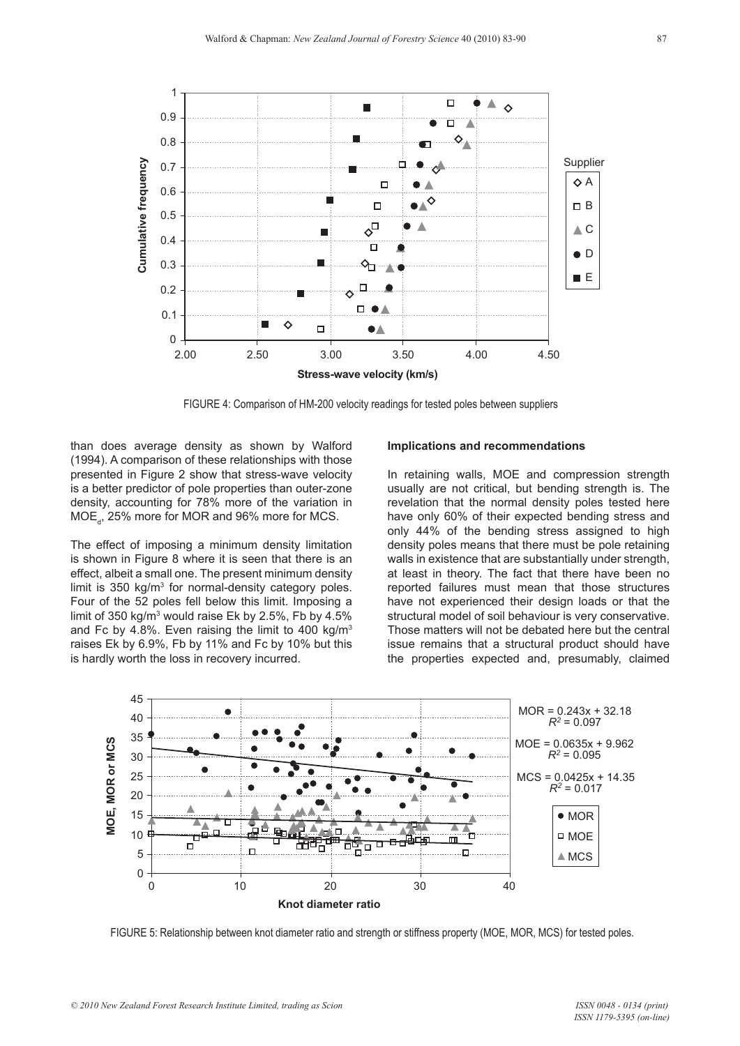

FIGURE 4: Comparison of HM-200 velocity readings for tested poles between suppliers

than does average density as shown by Walford (1994). A comparison of these relationships with those presented in Figure 2 show that stress-wave velocity is a better predictor of pole properties than outer-zone density, accounting for 78% more of the variation in  $\mathsf{MOE}_{_\mathrm{d}}$ , 25% more for MOR and 96% more for MCS.

The effect of imposing a minimum density limitation is shown in Figure 8 where it is seen that there is an effect, albeit a small one. The present minimum density limit is 350 kg/m<sup>3</sup> for normal-density category poles. Four of the 52 poles fell below this limit. Imposing a limit of 350 kg/m3 would raise Ek by 2.5%, Fb by 4.5% and Fc by 4.8%. Even raising the limit to 400 kg/m3 raises Ek by 6.9%, Fb by 11% and Fc by 10% but this is hardly worth the loss in recovery incurred.

#### **Implications and recommendations**

In retaining walls, MOE and compression strength usually are not critical, but bending strength is. The revelation that the normal density poles tested here have only 60% of their expected bending stress and only 44% of the bending stress assigned to high density poles means that there must be pole retaining walls in existence that are substantially under strength, at least in theory. The fact that there have been no reported failures must mean that those structures have not experienced their design loads or that the structural model of soil behaviour is very conservative. Those matters will not be debated here but the central issue remains that a structural product should have the properties expected and, presumably, claimed



FIGURE 5: Relationship between knot diameter ratio and strength or stiffness property (MOE, MOR, MCS) for tested poles.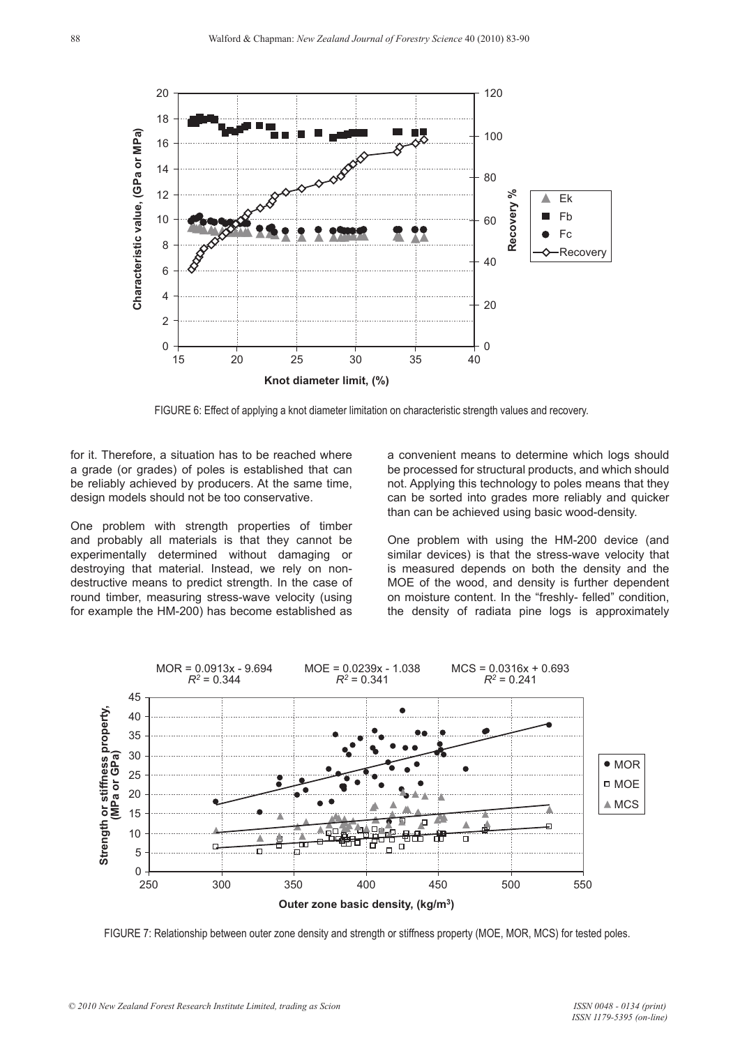

FIGURE 6: Effect of applying a knot diameter limitation on characteristic strength values and recovery.

for it. Therefore, a situation has to be reached where a grade (or grades) of poles is established that can be reliably achieved by producers. At the same time, design models should not be too conservative.

One problem with strength properties of timber and probably all materials is that they cannot be experimentally determined without damaging or destroying that material. Instead, we rely on nondestructive means to predict strength. In the case of round timber, measuring stress-wave velocity (using for example the HM-200) has become established as a convenient means to determine which logs should be processed for structural products, and which should not. Applying this technology to poles means that they can be sorted into grades more reliably and quicker than can be achieved using basic wood-density.

One problem with using the HM-200 device (and similar devices) is that the stress-wave velocity that is measured depends on both the density and the MOE of the wood, and density is further dependent on moisture content. In the "freshly- felled" condition, the density of radiata pine logs is approximately



FIGURE 7: Relationship between outer zone density and strength or stiffness property (MOE, MOR, MCS) for tested poles.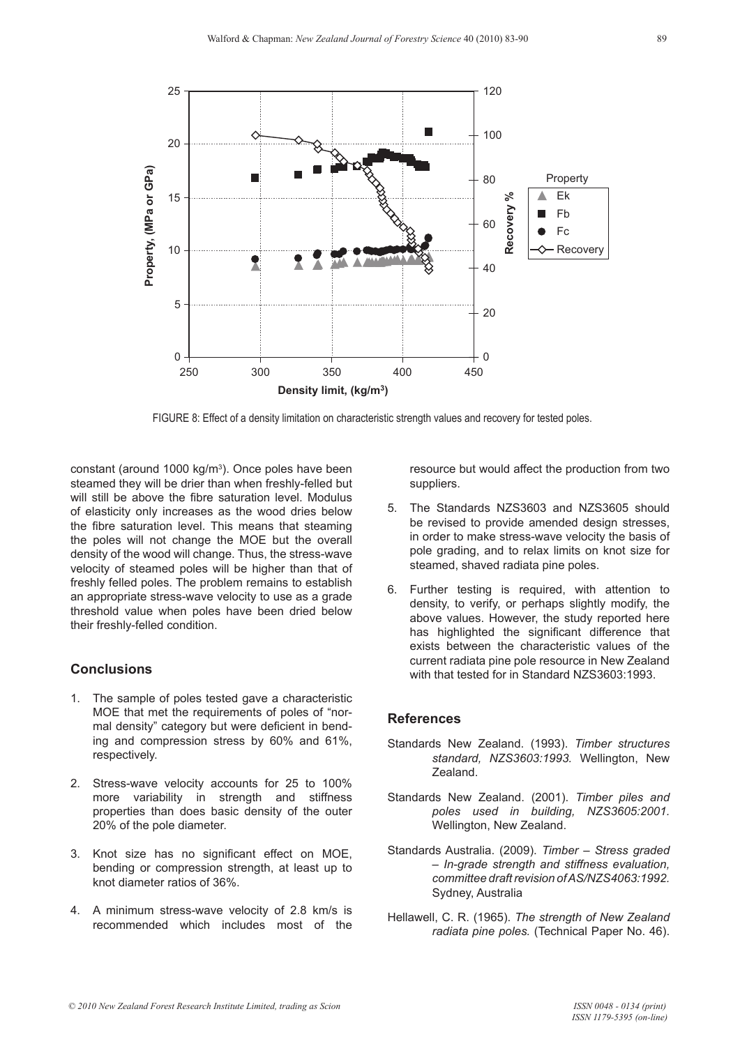

FIGURE 8: Effect of a density limitation on characteristic strength values and recovery for tested poles.

constant (around 1000 kg/m<sup>3</sup>). Once poles have been steamed they will be drier than when freshly-felled but will still be above the fibre saturation level. Modulus of elasticity only increases as the wood dries below the fibre saturation level. This means that steaming the poles will not change the MOE but the overall density of the wood will change. Thus, the stress-wave velocity of steamed poles will be higher than that of freshly felled poles. The problem remains to establish an appropriate stress-wave velocity to use as a grade threshold value when poles have been dried below their freshly-felled condition.

### **Conclusions**

- 1. The sample of poles tested gave a characteristic MOE that met the requirements of poles of "normal density" category but were deficient in bending and compression stress by 60% and 61%, respectively.
- 2. Stress-wave velocity accounts for 25 to 100% more variability in strength and stiffness properties than does basic density of the outer 20% of the pole diameter.
- 3. Knot size has no significant effect on MOE, bending or compression strength, at least up to knot diameter ratios of 36%.
- 4. A minimum stress-wave velocity of 2.8 km/s is recommended which includes most of the

resource but would affect the production from two suppliers.

- 5. The Standards NZS3603 and NZS3605 should be revised to provide amended design stresses, in order to make stress-wave velocity the basis of pole grading, and to relax limits on knot size for steamed, shaved radiata pine poles.
- 6. Further testing is required, with attention to density, to verify, or perhaps slightly modify, the above values. However, the study reported here has highlighted the significant difference that exists between the characteristic values of the current radiata pine pole resource in New Zealand with that tested for in Standard NZS3603:1993.

### **References**

- Standards New Zealand. (1993). *Timber structures standard, NZS3603:1993.* Wellington, New Zealand.
- Standards New Zealand. (2001). *Timber piles and poles used in building, NZS3605:2001.*  Wellington, New Zealand.
- Standards Australia. (2009). *Timber Stress graded – In-grade strength and stiffness evaluation, committee draft revision of AS/NZS4063:1992.*  Sydney, Australia
- Hellawell, C. R. (1965). *The strength of New Zealand radiata pine poles.* (Technical Paper No. 46).